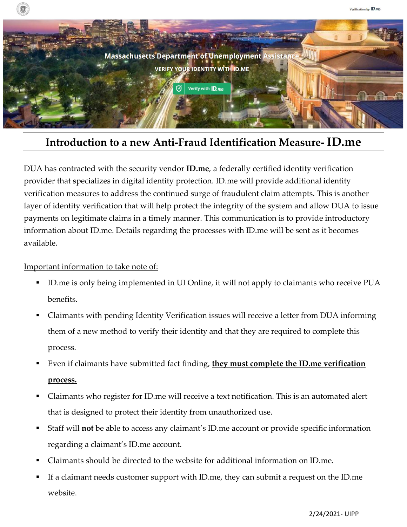

## **Introduction to a new Anti-Fraud Identification Measure- ID.me**

DUA has contracted with the security vendor **ID.me**, a federally certified identity verification provider that specializes in digital identity protection. ID.me will provide additional identity verification measures to address the continued surge of fraudulent claim attempts. This is another layer of identity verification that will help protect the integrity of the system and allow DUA to issue payments on legitimate claims in a timely manner. This communication is to provide introductory information about ID.me. Details regarding the processes with ID.me will be sent as it becomes available.

## Important information to take note of:

- ID.me is only being implemented in UI Online, it will not apply to claimants who receive PUA benefits.
- Claimants with pending Identity Verification issues will receive a letter from DUA informing them of a new method to verify their identity and that they are required to complete this process.
- Even if claimants have submitted fact finding, **they must complete the ID.me verification process.**
- Claimants who register for ID.me will receive a text notification. This is an automated alert that is designed to protect their identity from unauthorized use.
- Staff will **not** be able to access any claimant's ID.me account or provide specific information regarding a claimant's ID.me account.
- Claimants should be directed to the website for additional information on ID.me.
- If a claimant needs customer support with ID.me, they can submit a request on the ID.me website.